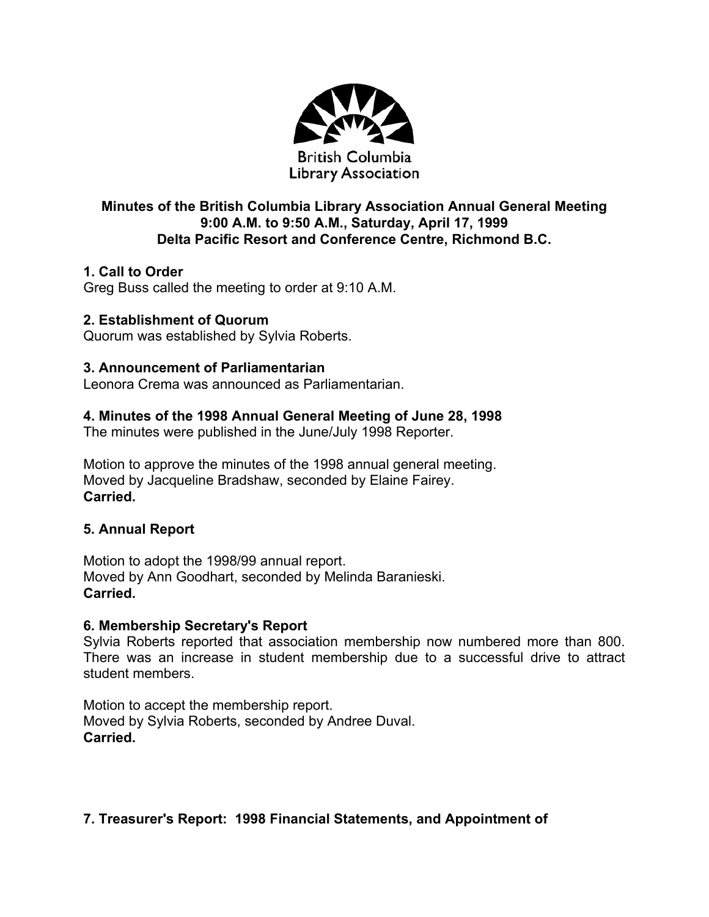

# **Minutes of the British Columbia Library Association Annual General Meeting 9:00 A.M. to 9:50 A.M., Saturday, April 17, 1999 Delta Pacific Resort and Conference Centre, Richmond B.C.**

# **1. Call to Order**

Greg Buss called the meeting to order at 9:10 A.M.

### **2. Establishment of Quorum**

Quorum was established by Sylvia Roberts.

#### **3. Announcement of Parliamentarian**

Leonora Crema was announced as Parliamentarian.

### **4. Minutes of the 1998 Annual General Meeting of June 28, 1998**

The minutes were published in the June/July 1998 Reporter.

Motion to approve the minutes of the 1998 annual general meeting. Moved by Jacqueline Bradshaw, seconded by Elaine Fairey. **Carried.**

#### **5. Annual Report**

Motion to adopt the 1998/99 annual report. Moved by Ann Goodhart, seconded by Melinda Baranieski. **Carried.** 

#### **6. Membership Secretary's Report**

Sylvia Roberts reported that association membership now numbered more than 800. There was an increase in student membership due to a successful drive to attract student members.

Motion to accept the membership report. Moved by Sylvia Roberts, seconded by Andree Duval. **Carried.** 

# **7. Treasurer's Report: 1998 Financial Statements, and Appointment of**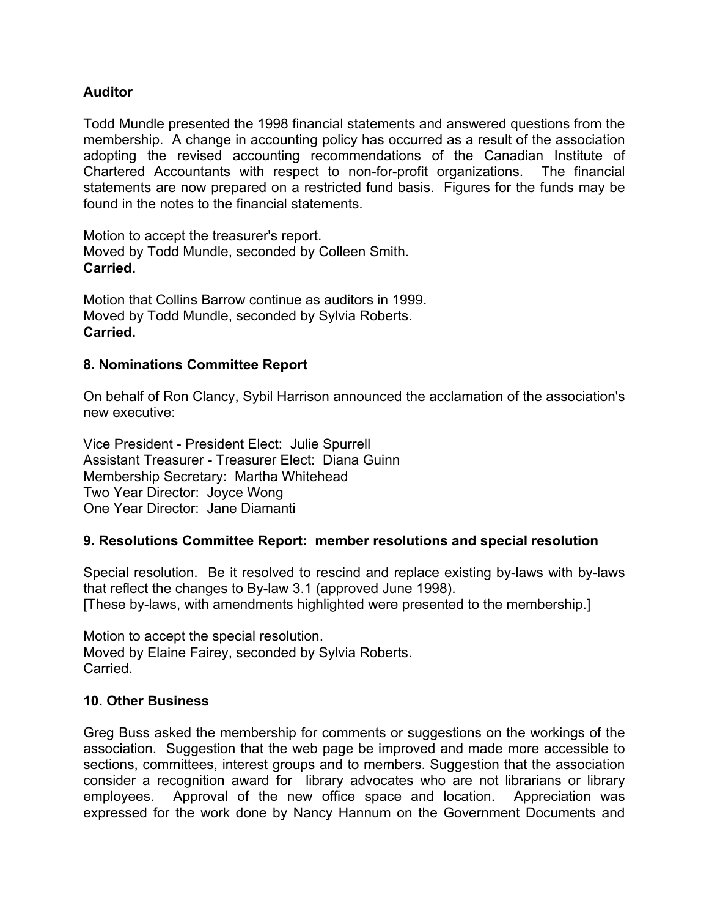#### **Auditor**

Todd Mundle presented the 1998 financial statements and answered questions from the membership. A change in accounting policy has occurred as a result of the association adopting the revised accounting recommendations of the Canadian Institute of Chartered Accountants with respect to non-for-profit organizations. The financial statements are now prepared on a restricted fund basis. Figures for the funds may be found in the notes to the financial statements.

Motion to accept the treasurer's report. Moved by Todd Mundle, seconded by Colleen Smith. **Carried.** 

Motion that Collins Barrow continue as auditors in 1999. Moved by Todd Mundle, seconded by Sylvia Roberts. **Carried.** 

#### **8. Nominations Committee Report**

On behalf of Ron Clancy, Sybil Harrison announced the acclamation of the association's new executive:

Vice President - President Elect: Julie Spurrell Assistant Treasurer - Treasurer Elect: Diana Guinn Membership Secretary: Martha Whitehead Two Year Director: Joyce Wong One Year Director: Jane Diamanti

#### **9. Resolutions Committee Report: member resolutions and special resolution**

Special resolution. Be it resolved to rescind and replace existing by-laws with by-laws that reflect the changes to By-law 3.1 (approved June 1998). [These by-laws, with amendments highlighted were presented to the membership.]

Motion to accept the special resolution. Moved by Elaine Fairey, seconded by Sylvia Roberts. **Carried** 

#### **10. Other Business**

Greg Buss asked the membership for comments or suggestions on the workings of the association. Suggestion that the web page be improved and made more accessible to sections, committees, interest groups and to members. Suggestion that the association consider a recognition award for library advocates who are not librarians or library employees. Approval of the new office space and location. Appreciation was expressed for the work done by Nancy Hannum on the Government Documents and